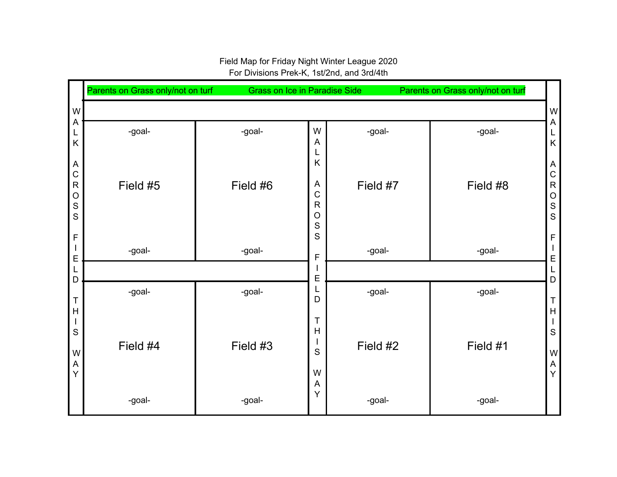## W A L K A C R O S S F I E L D T H I S W A Y Parents on Grass only/not on turf Grass on Ice in Paradise Side Parents on Grass only/not on turf W A L K A C R O S S F I E L D T H I S W A Y -goal-Field #5 -goal- -goal-Field #6 -goal-W A L K A C R O S S F I E L D T H I S W A Y -goal-Field #7 -goal- -goal-Field #8 -goal- -goal-Field #4 -goal- -goal-Field #3 -goal- -goal-Field #2 -goal- -goal-Field #1 -goal-

Field Map for Friday Night Winter League 2020 For Divisions Prek-K, 1st/2nd, and 3rd/4th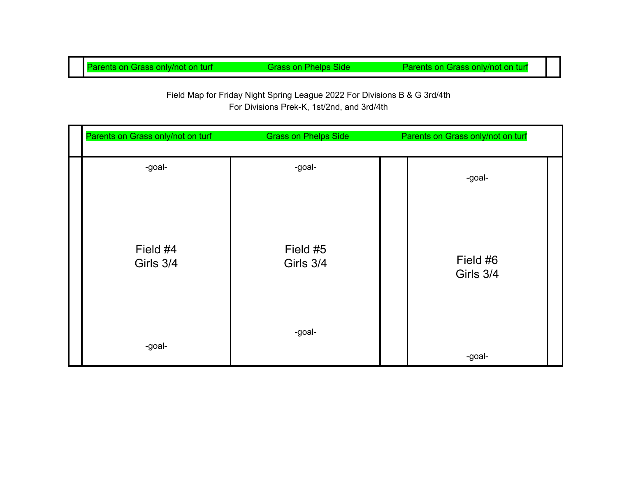Parents on Grass only/not on turf Grass on Phelps Side Parents on Grass only/not on turf

## Field Map for Friday Night Spring League 2022 For Divisions B & G 3rd/4th For Divisions Prek-K, 1st/2nd, and 3rd/4th

| Parents on Grass only/not on turf | <b>Grass on Phelps Side</b> | Parents on Grass only/not on turf |  |
|-----------------------------------|-----------------------------|-----------------------------------|--|
| -goal-                            | -goal-                      | -goal-                            |  |
| Field #4<br>Girls 3/4             | Field #5<br>Girls 3/4       | Field #6<br>Girls 3/4             |  |
| -goal-                            | -goal-                      | -goal-                            |  |